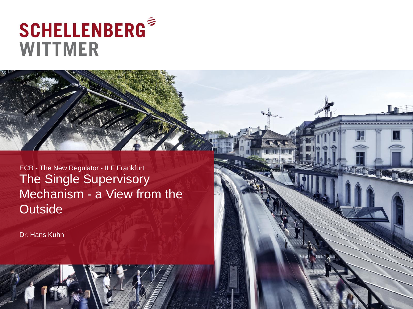# **SCHELLENBERG® WITTMER**

The Single Supervisory Mechanism - a View from the **Outside** ECB - The New Regulator - ILF Frankfurt

Dr. Hans Kuhn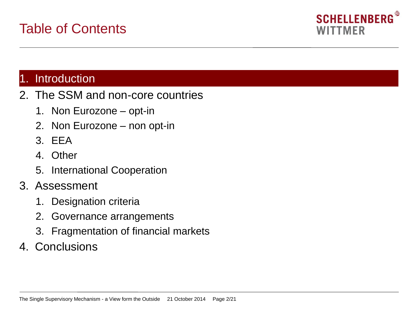

#### 1. Introduction

- 2. The SSM and non-core countries
	- 1. Non Eurozone opt-in
	- 2. Non Eurozone non opt-in
	- 3. EEA
	- 4. Other
	- 5. International Cooperation
- 3. Assessment
	- 1. Designation criteria
	- 2. Governance arrangements
	- 3. Fragmentation of financial markets
- 4. Conclusions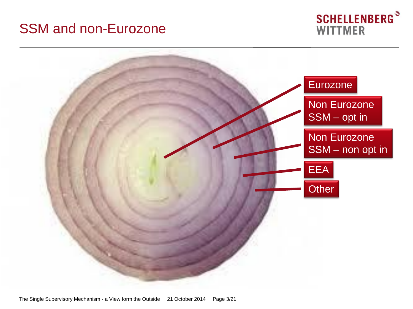# SSM and non-Eurozone



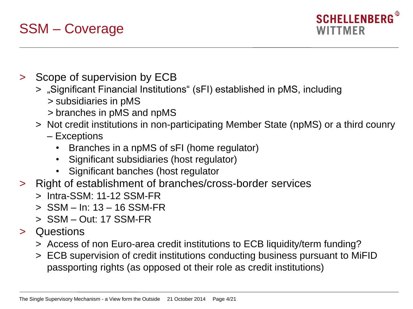# SSM – Coverage

- > Scope of supervision by ECB
	- > "Significant Financial Institutions" (sFI) established in pMS, including
		- > subsidiaries in pMS
		- > branches in pMS and npMS
	- > Not credit institutions in non-participating Member State (npMS) or a third counry
		- Exceptions
			- Branches in a npMS of sFI (home regulator)
			- Significant subsidiaries (host regulator)
			- Significant banches (host regulator
- > Right of establishment of branches/cross-border services
	- > Intra-SSM: 11-12 SSM-FR
	- > SSM In: 13 16 SSM-FR
	- > SSM Out: 17 SSM-FR
- > Questions
	- > Access of non Euro-area credit institutions to ECB liquidity/term funding?
	- > ECB supervision of credit institutions conducting business pursuant to MiFID passporting rights (as opposed ot their role as credit institutions)

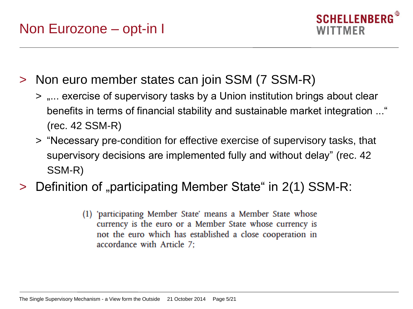

> Non euro member states can join SSM (7 SSM-R)

- > ,... exercise of supervisory tasks by a Union institution brings about clear benefits in terms of financial stability and sustainable market integration ..." (rec. 42 SSM-R)
- > "Necessary pre-condition for effective exercise of supervisory tasks, that supervisory decisions are implemented fully and without delay" (rec. 42 SSM-R)
- > Definition of "participating Member State" in 2(1) SSM-R:
	- (1) 'participating Member State' means a Member State whose currency is the euro or a Member State whose currency is not the euro which has established a close cooperation in accordance with Article 7: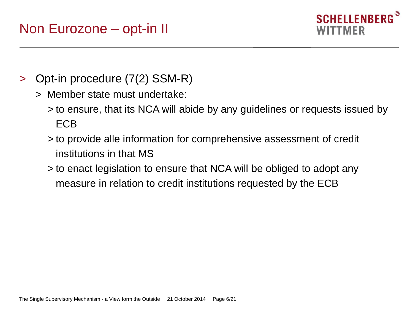

- > Opt-in procedure (7(2) SSM-R)
	- > Member state must undertake:
		- > to ensure, that its NCA will abide by any guidelines or requests issued by ECB
		- > to provide alle information for comprehensive assessment of credit institutions in that MS
		- > to enact legislation to ensure that NCA will be obliged to adopt any measure in relation to credit institutions requested by the ECB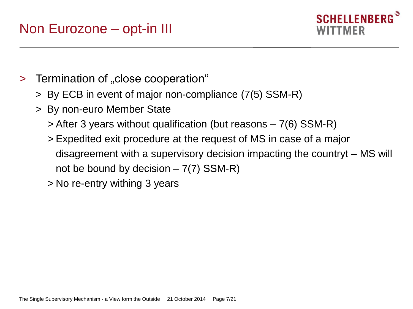

- > Termination of "close cooperation"
	- > By ECB in event of major non-compliance (7(5) SSM-R)
	- > By non-euro Member State
		- > After 3 years without qualification (but reasons 7(6) SSM-R)
		- > Expedited exit procedure at the request of MS in case of a major disagreement with a supervisory decision impacting the countryt – MS will not be bound by decision  $-7(7)$  SSM-R)
		- > No re-entry withing 3 years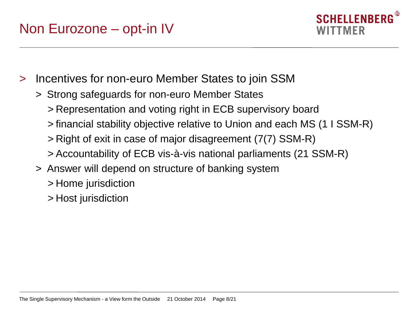

- > Incentives for non-euro Member States to join SSM
	- > Strong safeguards for non-euro Member States
		- > Representation and voting right in ECB supervisory board
		- > financial stability objective relative to Union and each MS (1 I SSM-R)
		- > Right of exit in case of major disagreement (7(7) SSM-R)
		- > Accountability of ECB vis-à-vis national parliaments (21 SSM-R)
	- > Answer will depend on structure of banking system
		- > Home jurisdiction
		- > Host jurisdiction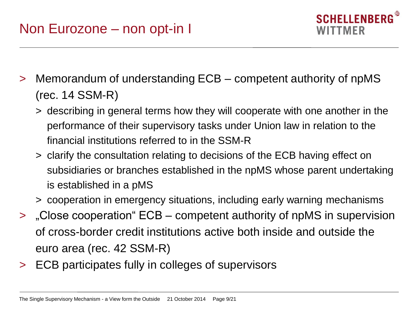# Non Eurozone – non opt-in I

- > Memorandum of understanding ECB competent authority of npMS (rec. 14 SSM-R)
	- > describing in general terms how they will cooperate with one another in the performance of their supervisory tasks under Union law in relation to the financial institutions referred to in the SSM-R
	- > clarify the consultation relating to decisions of the ECB having effect on subsidiaries or branches established in the npMS whose parent undertaking is established in a pMS
	- > cooperation in emergency situations, including early warning mechanisms
- > "Close cooperation" ECB competent authority of npMS in supervision of cross-border credit institutions active both inside and outside the euro area (rec. 42 SSM-R)
- > ECB participates fully in colleges of supervisors

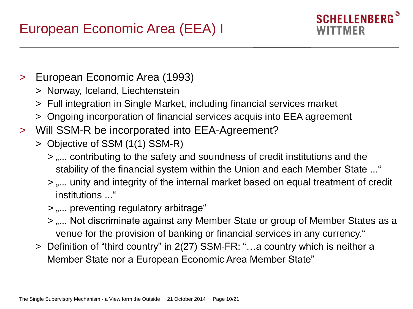

- > European Economic Area (1993)
	- > Norway, Iceland, Liechtenstein
	- > Full integration in Single Market, including financial services market
	- > Ongoing incorporation of financial services acquis into EEA agreement
- > Will SSM-R be incorporated into EEA-Agreement?
	- > Objective of SSM (1(1) SSM-R)
		- $>$  ,... contributing to the safety and soundness of credit institutions and the stability of the financial system within the Union and each Member State ..."
		- $>$  .... unity and integrity of the internal market based on equal treatment of credit institutions "
		- > .... preventing regulatory arbitrage"
		- $>$  .... Not discriminate against any Member State or group of Member States as a venue for the provision of banking or financial services in any currency."
	- > Definition of "third country" in 2(27) SSM-FR: "…a country which is neither a Member State nor a European Economic Area Member State"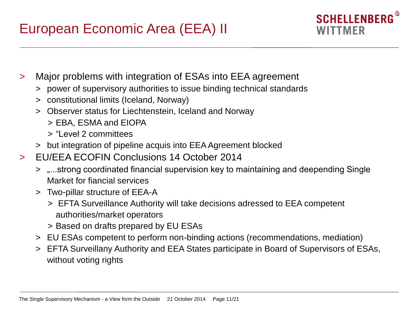

- > Major problems with integration of ESAs into EEA agreement
	- > power of supervisory authorities to issue binding technical standards
	- > constitutional limits (Iceland, Norway)
	- > Observer status for Liechtenstein, Iceland and Norway
		- > EBA, ESMA and EIOPA
		- > "Level 2 committees
	- > but integration of pipeline acquis into EEA Agreement blocked
- > EU/EEA ECOFIN Conclusions 14 October 2014
	- > "...strong coordinated financial supervision key to maintaining and deepending Single Market for fiancial services
	- > Two-pillar structure of EEA-A
		- > EFTA Surveillance Authority will take decisions adressed to EEA competent authorities/market operators
		- > Based on drafts prepared by EU ESAs
	- > EU ESAs competent to perform non-binding actions (recommendations, mediation)
	- > EFTA Surveillany Authority and EEA States participate in Board of Supervisors of ESAs, without voting rights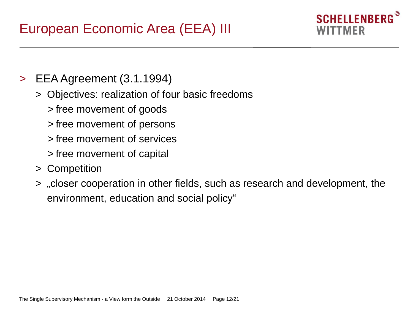### **SCHELLENBERG** WITTMFR

- > EEA Agreement (3.1.1994)
	- > Objectives: realization of four basic freedoms
		- > free movement of goods
		- > free movement of persons
		- > free movement of services
		- > free movement of capital
	- > Competition
	- > "closer cooperation in other fields, such as research and development, the environment, education and social policy"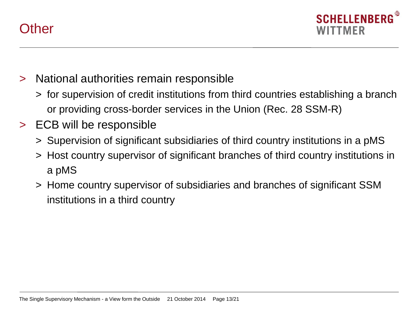



- > National authorities remain responsible
	- > for supervision of credit institutions from third countries establishing a branch or providing cross-border services in the Union (Rec. 28 SSM-R)
- > ECB will be responsible
	- > Supervision of significant subsidiaries of third country institutions in a pMS
	- > Host country supervisor of significant branches of third country institutions in a pMS
	- > Home country supervisor of subsidiaries and branches of significant SSM institutions in a third country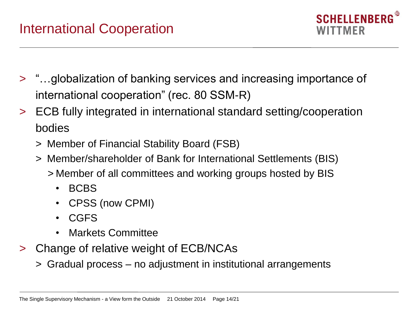

- > "…globalization of banking services and increasing importance of international cooperation" (rec. 80 SSM-R)
- > ECB fully integrated in international standard setting/cooperation bodies
	- > Member of Financial Stability Board (FSB)
	- > Member/shareholder of Bank for International Settlements (BIS)
		- > Member of all committees and working groups hosted by BIS
			- BCBS
			- CPSS (now CPMI)
			- CGFS
			- Markets Committee
- > Change of relative weight of ECB/NCAs
	- > Gradual process no adjustment in institutional arrangements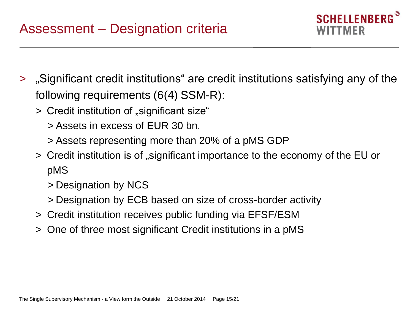**SCHELLENBERG** WITTMFR

- > "Significant credit institutions" are credit institutions satisfying any of the following requirements (6(4) SSM-R):
	- > Credit institution of "significant size"
		- > Assets in excess of EUR 30 bn.
		- > Assets representing more than 20% of a pMS GDP
	- > Credit institution is of "significant importance to the economy of the EU or pMS
		- > Designation by NCS
		- > Designation by ECB based on size of cross-border activity
	- > Credit institution receives public funding via EFSF/ESM
	- > One of three most significant Credit institutions in a pMS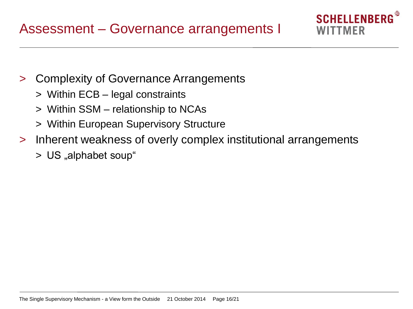- 
- > Complexity of Governance Arrangements
	- > Within ECB legal constraints
	- > Within SSM relationship to NCAs
	- > Within European Supervisory Structure
- > Inherent weakness of overly complex institutional arrangements

**SCHELLENBERG** 

WITTMFR

> US "alphabet soup"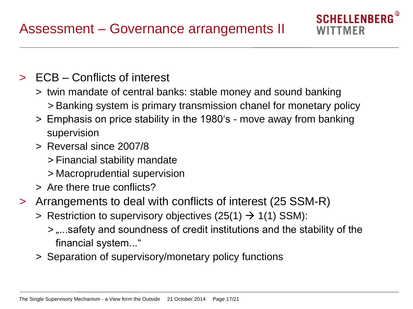- > ECB Conflicts of interest
	- > twin mandate of central banks: stable money and sound banking > Banking system is primary transmission chanel for monetary policy

**SCHELLENBERG** 

WITTMFR

- > Emphasis on price stability in the 1980's move away from banking supervision
- > Reversal since 2007/8
	- > Financial stability mandate
	- > Macroprudential supervision
- > Are there true conflicts?
- > Arrangements to deal with conflicts of interest (25 SSM-R)
	- $>$  Restriction to supervisory objectives (25(1)  $\rightarrow$  1(1) SSM):
		- $>$  ,...safety and soundness of credit institutions and the stability of the financial system..."
	- > Separation of supervisory/monetary policy functions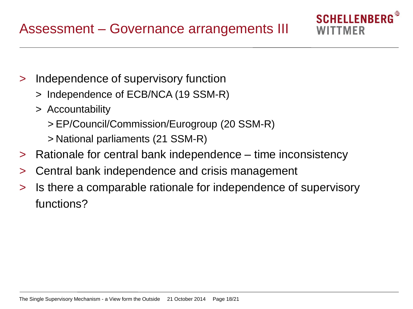- > Independence of supervisory function
	- > Independence of ECB/NCA (19 SSM-R)
	- > Accountability
		- > EP/Council/Commission/Eurogroup (20 SSM-R)
		- > National parliaments (21 SSM-R)
- > Rationale for central bank independence time inconsistency

**SCHELLENBERG** 

NITTMFR

- > Central bank independence and crisis management
- > Is there a comparable rationale for independence of supervisory functions?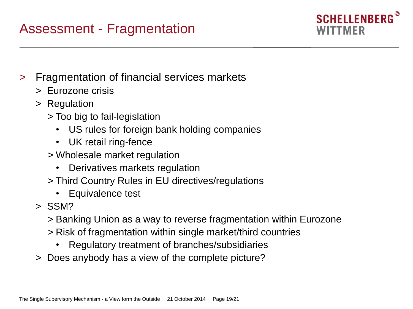# Assessment - Fragmentation



- > Fragmentation of financial services markets
	- > Eurozone crisis
	- > Regulation
		- > Too big to fail-legislation
			- US rules for foreign bank holding companies
			- UK retail ring-fence
		- > Wholesale market regulation
			- Derivatives markets regulation
		- > Third Country Rules in EU directives/regulations
			- Equivalence test
	- > SSM?
		- > Banking Union as a way to reverse fragmentation within Eurozone
		- > Risk of fragmentation within single market/third countries
			- Regulatory treatment of branches/subsidiaries
	- > Does anybody has a view of the complete picture?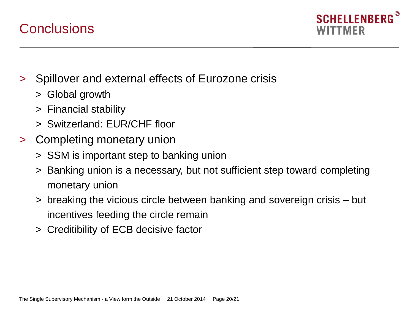

### **Conclusions**

- > Spillover and external effects of Eurozone crisis
	- > Global growth
	- > Financial stability
	- > Switzerland: EUR/CHF floor
- > Completing monetary union
	- > SSM is important step to banking union
	- > Banking union is a necessary, but not sufficient step toward completing monetary union
	- > breaking the vicious circle between banking and sovereign crisis but incentives feeding the circle remain
	- > Creditibility of ECB decisive factor